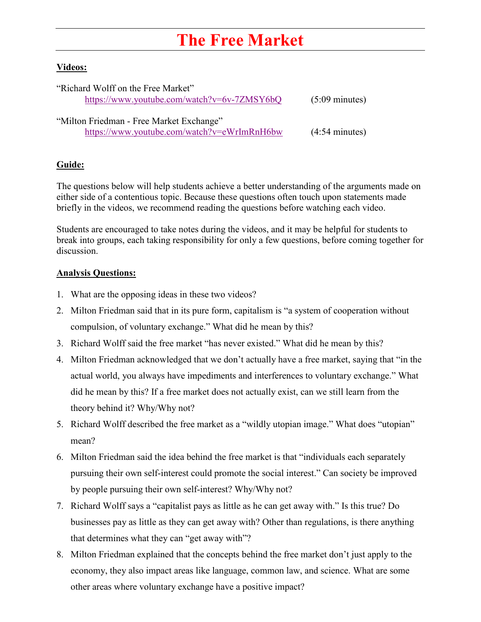## **The Free Market**

## **Videos:**

| "Richard Wolff on the Free Market"          |                          |
|---------------------------------------------|--------------------------|
| https://www.youtube.com/watch?v=6v-7ZMSY6bQ | $(5:09 \text{ minutes})$ |
|                                             |                          |
| "Milton Friedman - Free Market Exchange"    |                          |
| https://www.youtube.com/watch?v=eWrImRnH6bw | $(4:54 \text{ minutes})$ |

## **Guide:**

The questions below will help students achieve a better understanding of the arguments made on either side of a contentious topic. Because these questions often touch upon statements made briefly in the videos, we recommend reading the questions before watching each video.

Students are encouraged to take notes during the videos, and it may be helpful for students to break into groups, each taking responsibility for only a few questions, before coming together for discussion.

## **Analysis Questions:**

- 1. What are the opposing ideas in these two videos?
- 2. Milton Friedman said that in its pure form, capitalism is "a system of cooperation without compulsion, of voluntary exchange." What did he mean by this?
- 3. Richard Wolff said the free market "has never existed." What did he mean by this?
- 4. Milton Friedman acknowledged that we don't actually have a free market, saying that "in the actual world, you always have impediments and interferences to voluntary exchange." What did he mean by this? If a free market does not actually exist, can we still learn from the theory behind it? Why/Why not?
- 5. Richard Wolff described the free market as a "wildly utopian image." What does "utopian" mean?
- 6. Milton Friedman said the idea behind the free market is that "individuals each separately pursuing their own self-interest could promote the social interest." Can society be improved by people pursuing their own self-interest? Why/Why not?
- 7. Richard Wolff says a "capitalist pays as little as he can get away with." Is this true? Do businesses pay as little as they can get away with? Other than regulations, is there anything that determines what they can "get away with"?
- 8. Milton Friedman explained that the concepts behind the free market don't just apply to the economy, they also impact areas like language, common law, and science. What are some other areas where voluntary exchange have a positive impact?